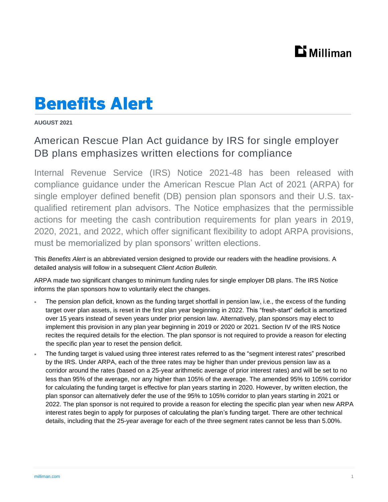## $\mathbf{D}$  Milliman

## **Benefits Alert**

**AUGUST 2021**

## American Rescue Plan Act guidance by IRS for single employer DB plans emphasizes written elections for compliance

Internal Revenue Service (IRS) Notice 2021-48 has been released with compliance guidance under the American Rescue Plan Act of 2021 (ARPA) for single employer defined benefit (DB) pension plan sponsors and their U.S. taxqualified retirement plan advisors. The Notice emphasizes that the permissible actions for meeting the cash contribution requirements for plan years in 2019, 2020, 2021, and 2022, which offer significant flexibility to adopt ARPA provisions, must be memorialized by plan sponsors' written elections.

This *Benefits Alert* is an abbreviated version designed to provide our readers with the headline provisions. A detailed analysis will follow in a subsequent *Client Action Bulletin.*

ARPA made two significant changes to minimum funding rules for single employer DB plans. The IRS Notice informs the plan sponsors how to voluntarily elect the changes.

- The pension plan deficit, known as the funding target shortfall in pension law, i.e., the excess of the funding target over plan assets, is reset in the first plan year beginning in 2022. This "fresh-start" deficit is amortized over 15 years instead of seven years under prior pension law. Alternatively, plan sponsors may elect to implement this provision in any plan year beginning in 2019 or 2020 or 2021. Section IV of the IRS Notice recites the required details for the election. The plan sponsor is not required to provide a reason for electing the specific plan year to reset the pension deficit.
- The funding target is valued using three interest rates referred to as the "segment interest rates" prescribed by the IRS. Under ARPA, each of the three rates may be higher than under previous pension law as a corridor around the rates (based on a 25-year arithmetic average of prior interest rates) and will be set to no less than 95% of the average, nor any higher than 105% of the average. The amended 95% to 105% corridor for calculating the funding target is effective for plan years starting in 2020. However, by written election, the plan sponsor can alternatively defer the use of the 95% to 105% corridor to plan years starting in 2021 or 2022. The plan sponsor is not required to provide a reason for electing the specific plan year when new ARPA interest rates begin to apply for purposes of calculating the plan's funding target. There are other technical details, including that the 25-year average for each of the three segment rates cannot be less than 5.00%.